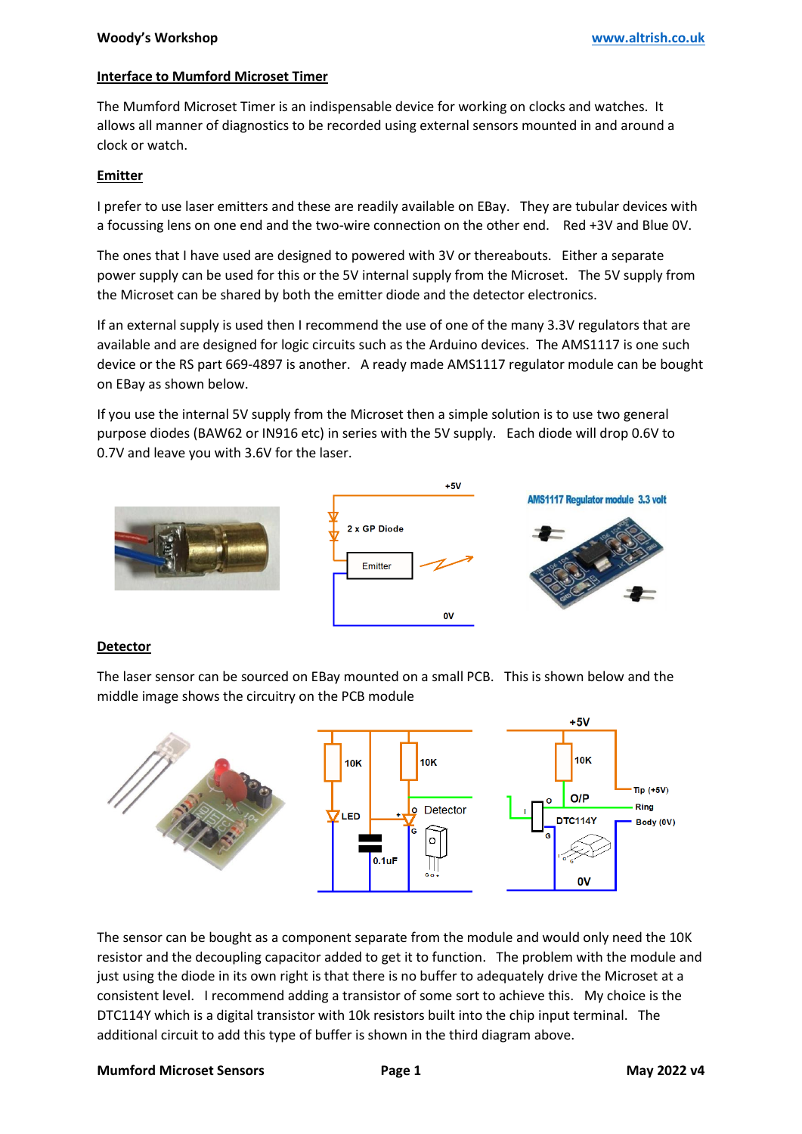# **Interface to Mumford Microset Timer**

The Mumford Microset Timer is an indispensable device for working on clocks and watches. It allows all manner of diagnostics to be recorded using external sensors mounted in and around a clock or watch.

## **Emitter**

I prefer to use laser emitters and these are readily available on EBay. They are tubular devices with a focussing lens on one end and the two-wire connection on the other end. Red +3V and Blue 0V.

The ones that I have used are designed to powered with 3V or thereabouts. Either a separate power supply can be used for this or the 5V internal supply from the Microset. The 5V supply from the Microset can be shared by both the emitter diode and the detector electronics.

If an external supply is used then I recommend the use of one of the many 3.3V regulators that are available and are designed for logic circuits such as the Arduino devices. The AMS1117 is one such device or the RS part 669-4897 is another. A ready made AMS1117 regulator module can be bought on EBay as shown below.

If you use the internal 5V supply from the Microset then a simple solution is to use two general purpose diodes (BAW62 or IN916 etc) in series with the 5V supply. Each diode will drop 0.6V to 0.7V and leave you with 3.6V for the laser.



### **Detector**

The laser sensor can be sourced on EBay mounted on a small PCB. This is shown below and the middle image shows the circuitry on the PCB module



The sensor can be bought as a component separate from the module and would only need the 10K resistor and the decoupling capacitor added to get it to function. The problem with the module and just using the diode in its own right is that there is no buffer to adequately drive the Microset at a consistent level. I recommend adding a transistor of some sort to achieve this. My choice is the DTC114Y which is a digital transistor with 10k resistors built into the chip input terminal. The additional circuit to add this type of buffer is shown in the third diagram above.

### **Mumford Microset Sensors Page 1 May 2022 v4**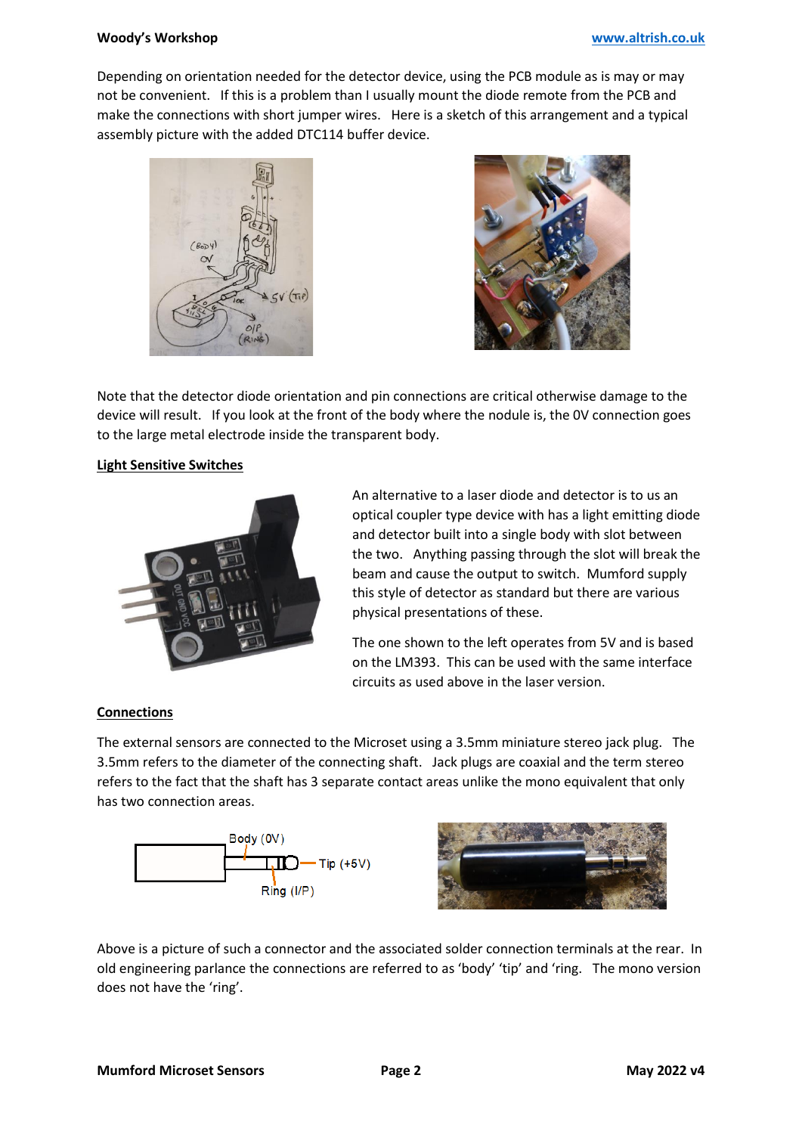#### **Woody's Workshop [www.altrish.co.uk](https://www.altrish.co.uk/)**

Depending on orientation needed for the detector device, using the PCB module as is may or may not be convenient. If this is a problem than I usually mount the diode remote from the PCB and make the connections with short jumper wires. Here is a sketch of this arrangement and a typical assembly picture with the added DTC114 buffer device.





Note that the detector diode orientation and pin connections are critical otherwise damage to the device will result. If you look at the front of the body where the nodule is, the 0V connection goes to the large metal electrode inside the transparent body.

### **Light Sensitive Switches**



An alternative to a laser diode and detector is to us an optical coupler type device with has a light emitting diode and detector built into a single body with slot between the two. Anything passing through the slot will break the beam and cause the output to switch. Mumford supply this style of detector as standard but there are various physical presentations of these.

The one shown to the left operates from 5V and is based on the LM393. This can be used with the same interface circuits as used above in the laser version.

### **Connections**

The external sensors are connected to the Microset using a 3.5mm miniature stereo jack plug. The 3.5mm refers to the diameter of the connecting shaft. Jack plugs are coaxial and the term stereo refers to the fact that the shaft has 3 separate contact areas unlike the mono equivalent that only has two connection areas.





Above is a picture of such a connector and the associated solder connection terminals at the rear. In old engineering parlance the connections are referred to as 'body' 'tip' and 'ring. The mono version does not have the 'ring'.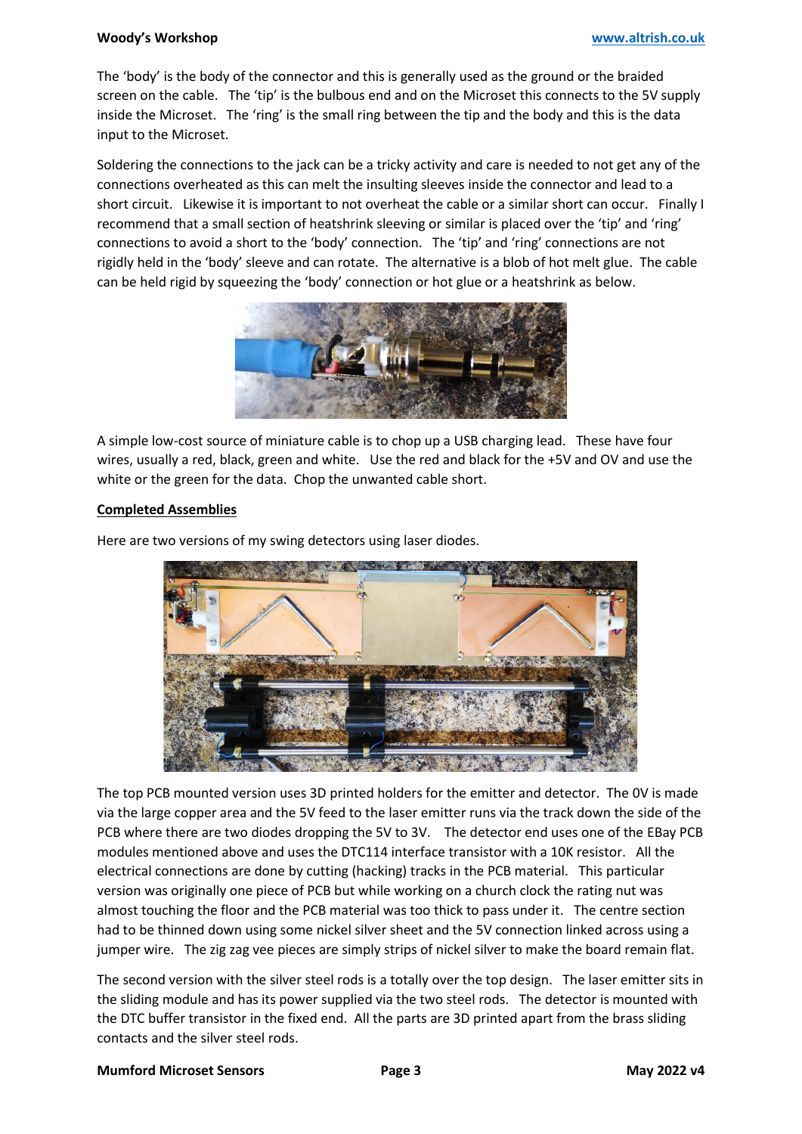### **Woody's Workshop [www.altrish.co.uk](https://www.altrish.co.uk/)**

The 'body' is the body of the connector and this is generally used as the ground or the braided screen on the cable. The 'tip' is the bulbous end and on the Microset this connects to the 5V supply inside the Microset. The 'ring' is the small ring between the tip and the body and this is the data input to the Microset.

Soldering the connections to the jack can be a tricky activity and care is needed to not get any of the connections overheated as this can melt the insulting sleeves inside the connector and lead to a short circuit. Likewise it is important to not overheat the cable or a similar short can occur. Finally I recommend that a small section of heatshrink sleeving or similar is placed over the 'tip' and 'ring' connections to avoid a short to the 'body' connection. The 'tip' and 'ring' connections are not rigidly held in the 'body' sleeve and can rotate. The alternative is a blob of hot melt glue. The cable can be held rigid by squeezing the 'body' connection or hot glue or a heatshrink as below.



A simple low-cost source of miniature cable is to chop up a USB charging lead. These have four wires, usually a red, black, green and white. Use the red and black for the +5V and OV and use the white or the green for the data. Chop the unwanted cable short.

### **Completed Assemblies**

Here are two versions of my swing detectors using laser diodes.



The top PCB mounted version uses 3D printed holders for the emitter and detector. The 0V is made via the large copper area and the 5V feed to the laser emitter runs via the track down the side of the PCB where there are two diodes dropping the 5V to 3V. The detector end uses one of the EBay PCB modules mentioned above and uses the DTC114 interface transistor with a 10K resistor. All the electrical connections are done by cutting (hacking) tracks in the PCB material. This particular version was originally one piece of PCB but while working on a church clock the rating nut was almost touching the floor and the PCB material was too thick to pass under it. The centre section had to be thinned down using some nickel silver sheet and the 5V connection linked across using a jumper wire. The zig zag vee pieces are simply strips of nickel silver to make the board remain flat.

The second version with the silver steel rods is a totally over the top design. The laser emitter sits in the sliding module and has its power supplied via the two steel rods. The detector is mounted with the DTC buffer transistor in the fixed end. All the parts are 3D printed apart from the brass sliding contacts and the silver steel rods.

#### **Mumford Microset Sensors Page 3 May 2022 v4**